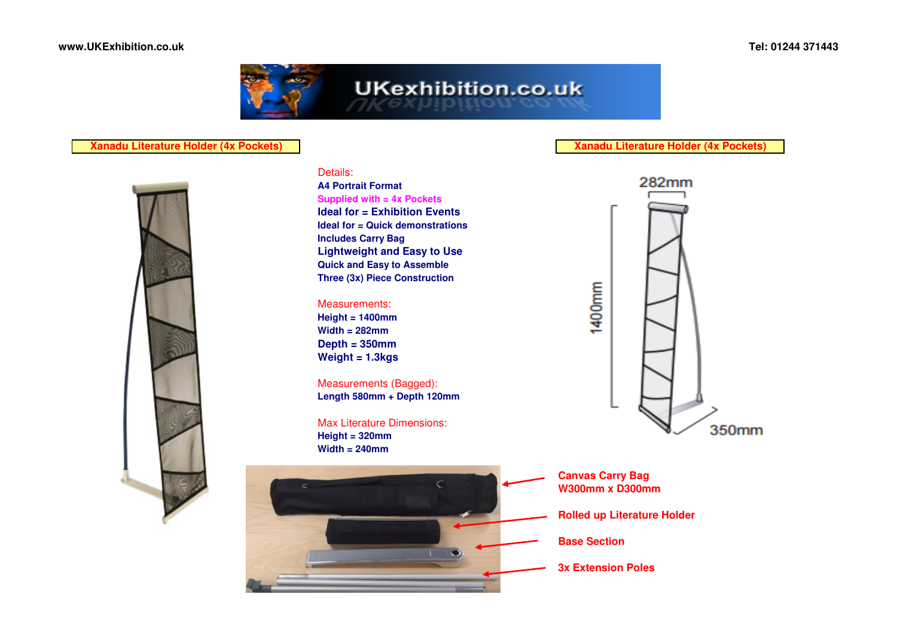

# **Xanadu Literature Holder (4x Pockets)**



## Details:

 **A4 Portrait Format Supplied with = 4x Pockets Ideal for = Exhibition Events Ideal for = Quick demonstrationsIncludes Carry Bag Lightweight and Easy to UseQuick and Easy to AssembleThree (3x) Piece Construction**

#### Measurements:

 **Height = 1400mm Width = 282mm Depth = 350mmWeight = 1.3kgs**

Measurements (Bagged):**Length 580mm + Depth 120mm**

Max Literature Dimensions:**Height = 320mmWidth = 240mm**



### **Xanadu Literature Holder (4x Pockets)**



**Canvas Carry BagW300mm x D300mm**

**Rolled up Literature Holder**

**Base Section**

**3x Extension Poles**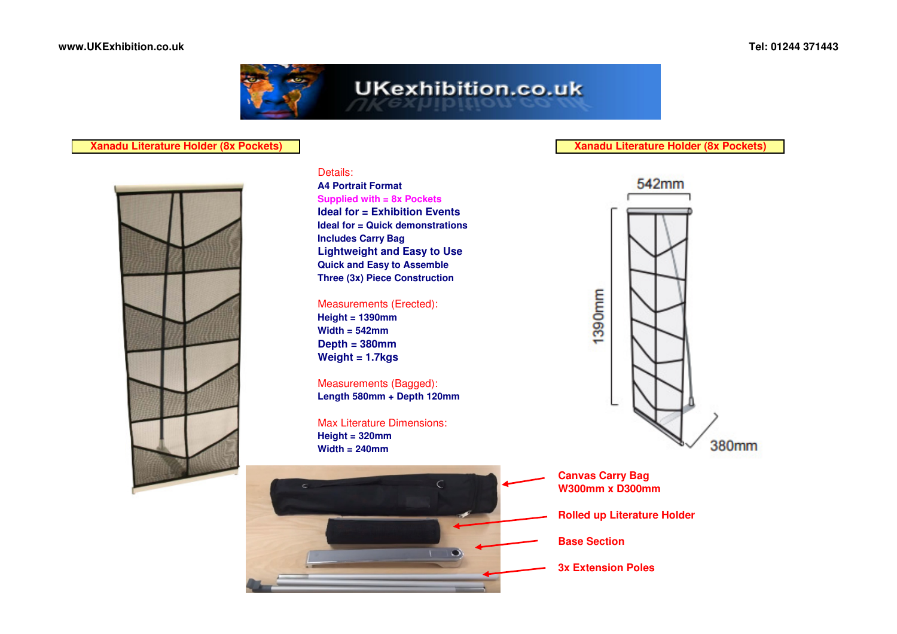

# **Xanadu Literature Holder (8x Pockets)**



# Details:

 **A4 Portrait Format Supplied with = 8x Pockets Ideal for = Exhibition Events Ideal for = Quick demonstrationsIncludes Carry Bag Lightweight and Easy to UseQuick and Easy to AssembleThree (3x) Piece Construction**

## Measurements (Erected):

**Height = 1390mm Width = 542mm Depth = 380mmWeight = 1.7kgs**

Measurements (Bagged):**Length 580mm + Depth 120mm**

Max Literature Dimensions:**Height = 320mmWidth = 240mm**



**Xanadu Literature Holder (8x Pockets)**



**Canvas Carry BagW300mm x D300mm**

**Rolled up Literature Holder**

**Base Section**

**3x Extension Poles**